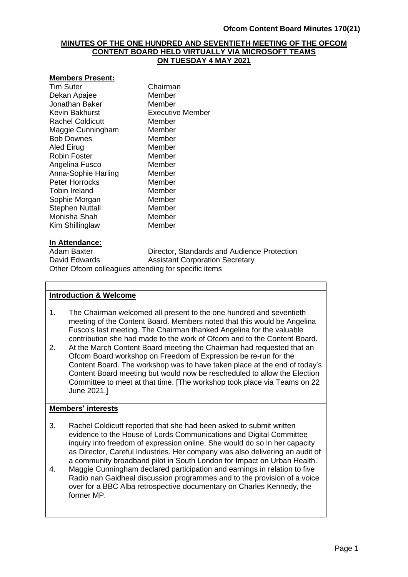#### **MINUTES OF THE ONE HUNDRED AND SEVENTIETH MEETING OF THE OFCOM CONTENT BOARD HELD VIRTUALLY VIA MICROSOFT TEAMS ON TUESDAY 4 MAY 2021**

#### **Members Present:**

Tim Suter Chairman Dekan Apajee Member Jonathan Baker Member Kevin Bakhurst Executive Member Rachel Coldicutt Member Maggie Cunningham Member Bob Downes Member Aled Eirug **Member** Robin Foster Member Angelina Fusco Member Anna-Sophie Harling Member Peter Horrocks Member Tobin Ireland Member<br>
Sophie Morgan Member Sophie Morgan Stephen Nuttall Member Monisha Shah Member Kim Shillinglaw Member

# **In Attendance:**

Director, Standards and Audience Protection David Edwards **Assistant Corporation Secretary** Other Ofcom colleagues attending for specific items

#### **Introduction & Welcome**

- 1. The Chairman welcomed all present to the one hundred and seventieth meeting of the Content Board. Members noted that this would be Angelina Fusco's last meeting. The Chairman thanked Angelina for the valuable contribution she had made to the work of Ofcom and to the Content Board.
- 2. At the March Content Board meeting the Chairman had requested that an Ofcom Board workshop on Freedom of Expression be re-run for the Content Board. The workshop was to have taken place at the end of today's Content Board meeting but would now be rescheduled to allow the Election Committee to meet at that time. [The workshop took place via Teams on 22 June 2021.]

## **Members' interests**

- 3. Rachel Coldicutt reported that she had been asked to submit written evidence to the House of Lords Communications and Digital Committee inquiry into freedom of expression online. She would do so in her capacity as Director, Careful Industries. Her company was also delivering an audit of a community broadband pilot in South London for Impact on Urban Health.
- 4. Maggie Cunningham declared participation and earnings in relation to five Radio nan Gaidheal discussion programmes and to the provision of a voice over for a BBC Alba retrospective documentary on Charles Kennedy, the former MP.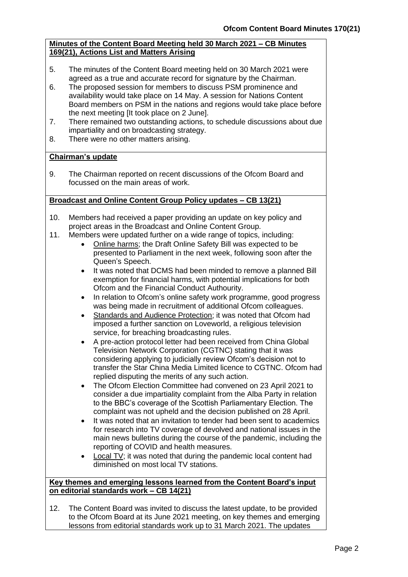# **Minutes of the Content Board Meeting held 30 March 2021 – CB Minutes 169(21), Actions List and Matters Arising**

- 5. The minutes of the Content Board meeting held on 30 March 2021 were agreed as a true and accurate record for signature by the Chairman.
- 6. The proposed session for members to discuss PSM prominence and availability would take place on 14 May. A session for Nations Content Board members on PSM in the nations and regions would take place before the next meeting [It took place on 2 June].
- 7. There remained two outstanding actions, to schedule discussions about due impartiality and on broadcasting strategy.
- 8. There were no other matters arising.

# **Chairman's update**

9. The Chairman reported on recent discussions of the Ofcom Board and focussed on the main areas of work.

# **Broadcast and Online Content Group Policy updates – CB 13(21)**

- 10. Members had received a paper providing an update on key policy and project areas in the Broadcast and Online Content Group.
- 11. Members were updated further on a wide range of topics, including:
	- Online harms; the Draft Online Safety Bill was expected to be presented to Parliament in the next week, following soon after the Queen's Speech.
	- It was noted that DCMS had been minded to remove a planned Bill exemption for financial harms, with potential implications for both Ofcom and the Financial Conduct Authourity.
	- In relation to Ofcom's online safety work programme, good progress was being made in recruitment of additional Ofcom colleagues.
	- Standards and Audience Protection; it was noted that Ofcom had imposed a further sanction on Loveworld, a religious television service, for breaching broadcasting rules.
	- A pre-action protocol letter had been received from China Global Television Network Corporation (CGTNC) stating that it was considering applying to judicially review Ofcom's decision not to transfer the Star China Media Limited licence to CGTNC. Ofcom had replied disputing the merits of any such action.
	- The Ofcom Election Committee had convened on 23 April 2021 to consider a due impartiality complaint from the Alba Party in relation to the BBC's coverage of the Scottish Parliamentary Election. The complaint was not upheld and the decision published on 28 April.
	- It was noted that an invitation to tender had been sent to academics for research into TV coverage of devolved and national issues in the main news bulletins during the course of the pandemic, including the reporting of COVID and health measures.
	- Local TV; it was noted that during the pandemic local content had diminished on most local TV stations.

#### **Key themes and emerging lessons learned from the Content Board's input on editorial standards work – CB 14(21)**

12. The Content Board was invited to discuss the latest update, to be provided to the Ofcom Board at its June 2021 meeting, on key themes and emerging lessons from editorial standards work up to 31 March 2021. The updates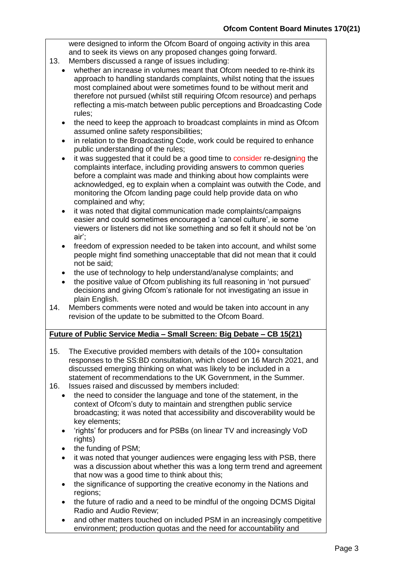were designed to inform the Ofcom Board of ongoing activity in this area and to seek its views on any proposed changes going forward.

- 13. Members discussed a range of issues including:
	- whether an increase in volumes meant that Ofcom needed to re-think its approach to handling standards complaints, whilst noting that the issues most complained about were sometimes found to be without merit and therefore not pursued (whilst still requiring Ofcom resource) and perhaps reflecting a mis-match between public perceptions and Broadcasting Code rules;
	- the need to keep the approach to broadcast complaints in mind as Ofcom assumed online safety responsibilities;
	- in relation to the Broadcasting Code, work could be required to enhance public understanding of the rules;
	- it was suggested that it could be a good time to consider re-designing the complaints interface, including providing answers to common queries before a complaint was made and thinking about how complaints were acknowledged, eg to explain when a complaint was outwith the Code, and monitoring the Ofcom landing page could help provide data on who complained and why;
	- it was noted that digital communication made complaints/campaigns easier and could sometimes encouraged a 'cancel culture', ie some viewers or listeners did not like something and so felt it should not be 'on air';
	- freedom of expression needed to be taken into account, and whilst some people might find something unacceptable that did not mean that it could not be said;
	- the use of technology to help understand/analyse complaints; and
	- the positive value of Ofcom publishing its full reasoning in 'not pursued' decisions and giving Ofcom's rationale for not investigating an issue in plain English.
- 14. Members comments were noted and would be taken into account in any revision of the update to be submitted to the Ofcom Board.

# **Future of Public Service Media – Small Screen: Big Debate – CB 15(21)**

- 15. The Executive provided members with details of the 100+ consultation responses to the SS:BD consultation, which closed on 16 March 2021, and discussed emerging thinking on what was likely to be included in a statement of recommendations to the UK Government, in the Summer.
- 16. Issues raised and discussed by members included:
	- the need to consider the language and tone of the statement, in the context of Ofcom's duty to maintain and strengthen public service broadcasting; it was noted that accessibility and discoverability would be key elements;
	- 'rights' for producers and for PSBs (on linear TV and increasingly VoD rights)
	- the funding of PSM;
	- it was noted that younger audiences were engaging less with PSB, there was a discussion about whether this was a long term trend and agreement that now was a good time to think about this;
	- the significance of supporting the creative economy in the Nations and regions;
	- the future of radio and a need to be mindful of the ongoing DCMS Digital Radio and Audio Review;
	- and other matters touched on included PSM in an increasingly competitive environment; production quotas and the need for accountability and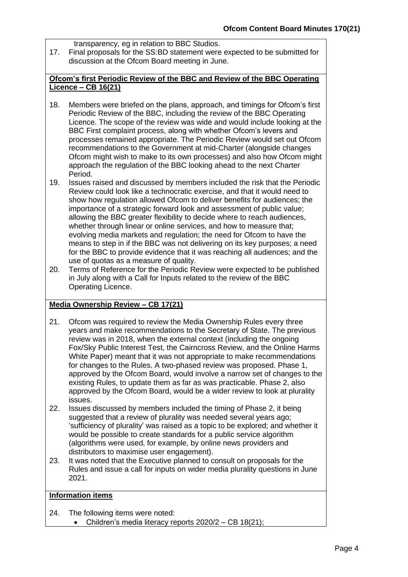transparency, eg in relation to BBC Studios.

17. Final proposals for the SS:BD statement were expected to be submitted for discussion at the Ofcom Board meeting in June.

#### **Ofcom's first Periodic Review of the BBC and Review of the BBC Operating Licence – CB 16(21)**

- 18. Members were briefed on the plans, approach, and timings for Ofcom's first Periodic Review of the BBC, including the review of the BBC Operating Licence. The scope of the review was wide and would include looking at the BBC First complaint process, along with whether Ofcom's levers and processes remained appropriate. The Periodic Review would set out Ofcom recommendations to the Government at mid-Charter (alongside changes Ofcom might wish to make to its own processes) and also how Ofcom might approach the regulation of the BBC looking ahead to the next Charter Period.
- 19. Issues raised and discussed by members included the risk that the Periodic Review could look like a technocratic exercise, and that it would need to show how regulation allowed Ofcom to deliver benefits for audiences; the importance of a strategic forward look and assessment of public value; allowing the BBC greater flexibility to decide where to reach audiences, whether through linear or online services, and how to measure that; evolving media markets and regulation; the need for Ofcom to have the means to step in if the BBC was not delivering on its key purposes; a need for the BBC to provide evidence that it was reaching all audiences; and the use of quotas as a measure of quality.
- 20. Terms of Reference for the Periodic Review were expected to be published in July along with a Call for Inputs related to the review of the BBC Operating Licence.

# **Media Ownership Review – CB 17(21)**

- 21. Ofcom was required to review the Media Ownership Rules every three years and make recommendations to the Secretary of State. The previous review was in 2018, when the external context (including the ongoing Fox/Sky Public Interest Test, the Cairncross Review, and the Online Harms White Paper) meant that it was not appropriate to make recommendations for changes to the Rules. A two-phased review was proposed. Phase 1, approved by the Ofcom Board, would involve a narrow set of changes to the existing Rules, to update them as far as was practicable. Phase 2, also approved by the Ofcom Board, would be a wider review to look at plurality issues.
- 22. Issues discussed by members included the timing of Phase 2, it being suggested that a review of plurality was needed several years ago: 'sufficiency of plurality' was raised as a topic to be explored; and whether it would be possible to create standards for a public service algorithm (algorithms were used, for example, by online news providers and distributors to maximise user engagement).
- 23. It was noted that the Executive planned to consult on proposals for the Rules and issue a call for inputs on wider media plurality questions in June 2021.

## **Information items**

- 24. The following items were noted:
	- Children's media literacy reports 2020/2 CB 18(21);